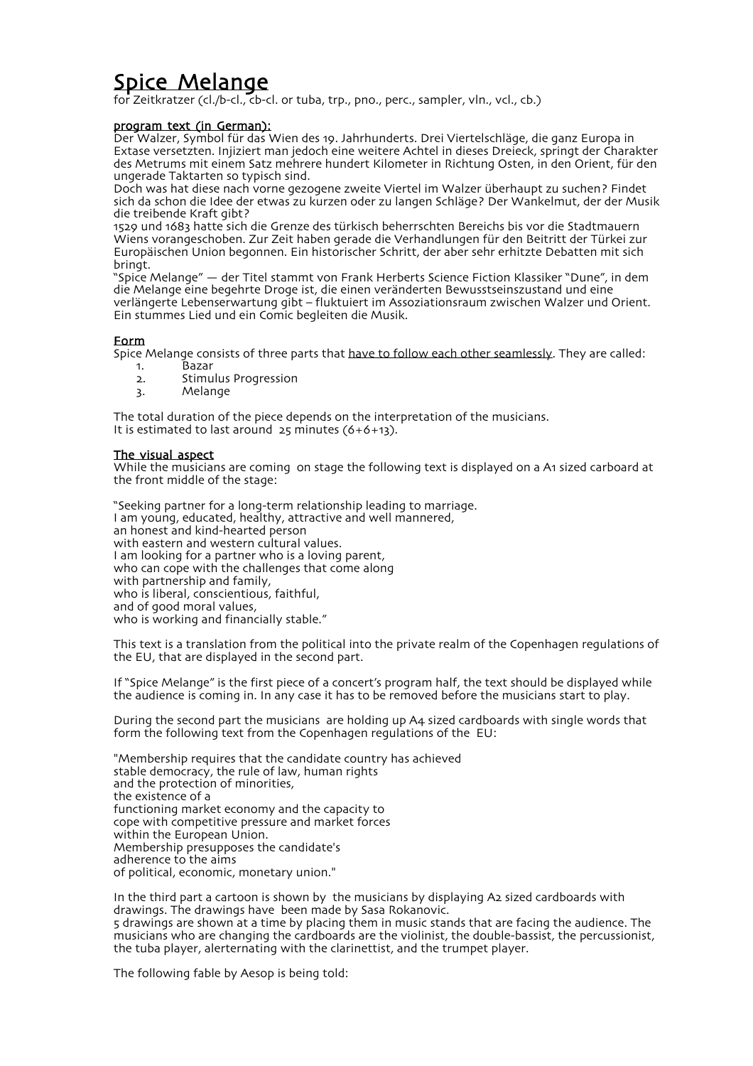# Spice Melange

for Zeitkratzer (cl./b-cl., cb-cl. or tuba, trp., pno., perc., sampler, vln., vcl., cb.)

## program text (in German):

Der Walzer, Symbol für das Wien des 19. Jahrhunderts. Drei Viertelschläge, die ganz Europa in Extase versetzten. Injiziert man jedoch eine weitere Achtel in dieses Dreieck, springt der Charakter des Metrums mit einem Satz mehrere hundert Kilometer in Richtung Osten, in den Orient, für den ungerade Taktarten so typisch sind.

Doch was hat diese nach vorne gezogene zweite Viertel im Walzer überhaupt zu suchen? Findet sich da schon die Idee der etwas zu kurzen oder zu langen Schläge? Der Wankelmut, der der Musik die treibende Kraft gibt?

1529 und 1683 hatte sich die Grenze des türkisch beherrschten Bereichs bis vor die Stadtmauern Wiens vorangeschoben. Zur Zeit haben gerade die Verhandlungen für den Beitritt der Türkei zur Europäischen Union begonnen. Ein historischer Schritt, der aber sehr erhitzte Debatten mit sich bringt.

"Spice Melange" — der Titel stammt von Frank Herberts Science Fiction Klassiker "Dune", in dem die Melange eine begehrte Droge ist, die einen veränderten Bewusstseinszustand und eine verlängerte Lebenserwartung gibt – fluktuiert im Assoziationsraum zwischen Walzer und Orient. Ein stummes Lied und ein Comic begleiten die Musik.

## Form

Spice Melange consists of three parts that have to follow each other seamlessly. They are called:

- 1. Bazar
- 2. Stimulus Progression
- 3. Melange

The total duration of the piece depends on the interpretation of the musicians. It is estimated to last around 25 minutes (6+6+13).

## The visual aspect

While the musicians are coming on stage the following text is displayed on a A1 sized carboard at the front middle of the stage:

"Seeking partner for a long-term relationship leading to marriage. I am young, educated, healthy, attractive and well mannered, an honest and kind-hearted person with eastern and western cultural values. I am looking for a partner who is a loving parent, who can cope with the challenges that come along with partnership and family, who is liberal, conscientious, faithful. and of good moral values, who is working and financially stable."

This text is a translation from the political into the private realm of the Copenhagen regulations of the EU, that are displayed in the second part.

If "Spice Melange" is the first piece of a concert's program half, the text should be displayed while the audience is coming in. In any case it has to be removed before the musicians start to play.

During the second part the musicians are holding up A4 sized cardboards with single words that form the following text from the Copenhagen regulations of the EU:

"Membership requires that the candidate country has achieved stable democracy, the rule of law, human rights and the protection of minorities, the existence of a functioning market economy and the capacity to cope with competitive pressure and market forces within the European Union. Membership presupposes the candidate's adherence to the aims of political, economic, monetary union."

In the third part a cartoon is shown by the musicians by displaying A2 sized cardboards with drawings. The drawings have been made by Sasa Rokanovic.

5 drawings are shown at a time by placing them in music stands that are facing the audience. The musicians who are changing the cardboards are the violinist, the double-bassist, the percussionist, the tuba player, alerternating with the clarinettist, and the trumpet player.

The following fable by Aesop is being told: